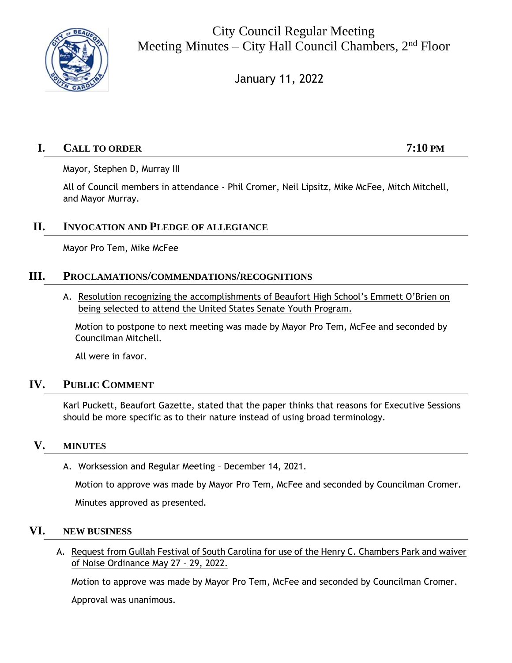

City Council Regular Meeting Meeting Minutes – City Hall Council Chambers,  $2<sup>nd</sup>$  Floor

January 11, 2022

# **I. CALL TO ORDER 7:10 PM**

Mayor, Stephen D, Murray III

All of Council members in attendance - Phil Cromer, Neil Lipsitz, Mike McFee, Mitch Mitchell, and Mayor Murray.

# **II. INVOCATION AND PLEDGE OF ALLEGIANCE**

Mayor Pro Tem, Mike McFee

## **III. PROCLAMATIONS/COMMENDATIONS/RECOGNITIONS**

A. Resolution recognizing the accomplishments of Beaufort High School's Emmett O'Brien on being selected to attend the United States Senate Youth Program.

Motion to postpone to next meeting was made by Mayor Pro Tem, McFee and seconded by Councilman Mitchell.

All were in favor.

## **IV. PUBLIC COMMENT**

Karl Puckett, Beaufort Gazette, stated that the paper thinks that reasons for Executive Sessions should be more specific as to their nature instead of using broad terminology.

## **V. MINUTES**

A. Worksession and Regular Meeting – December 14, 2021.

Motion to approve was made by Mayor Pro Tem, McFee and seconded by Councilman Cromer.

Minutes approved as presented.

## **VI. NEW BUSINESS**

A. Request from Gullah Festival of South Carolina for use of the Henry C. Chambers Park and waiver of Noise Ordinance May 27 – 29, 2022.

Motion to approve was made by Mayor Pro Tem, McFee and seconded by Councilman Cromer.

Approval was unanimous.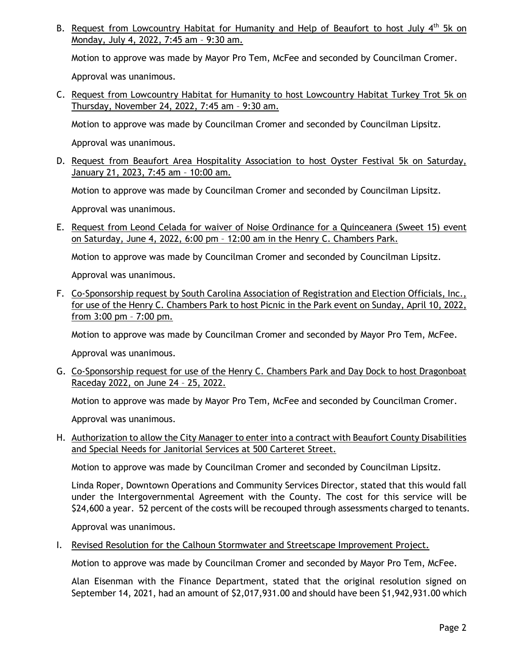B. Request from Lowcountry Habitat for Humanity and Help of Beaufort to host July 4<sup>th</sup> 5k on Monday, July 4, 2022, 7:45 am – 9:30 am.

Motion to approve was made by Mayor Pro Tem, McFee and seconded by Councilman Cromer.

Approval was unanimous.

C. Request from Lowcountry Habitat for Humanity to host Lowcountry Habitat Turkey Trot 5k on Thursday, November 24, 2022, 7:45 am – 9:30 am.

Motion to approve was made by Councilman Cromer and seconded by Councilman Lipsitz.

Approval was unanimous.

D. Request from Beaufort Area Hospitality Association to host Oyster Festival 5k on Saturday, January 21, 2023, 7:45 am – 10:00 am.

Motion to approve was made by Councilman Cromer and seconded by Councilman Lipsitz.

Approval was unanimous.

E. Request from Leond Celada for waiver of Noise Ordinance for a Quinceanera (Sweet 15) event on Saturday, June 4, 2022, 6:00 pm – 12:00 am in the Henry C. Chambers Park.

Motion to approve was made by Councilman Cromer and seconded by Councilman Lipsitz.

Approval was unanimous.

F. Co-Sponsorship request by South Carolina Association of Registration and Election Officials, Inc., for use of the Henry C. Chambers Park to host Picnic in the Park event on Sunday, April 10, 2022, from 3:00 pm – 7:00 pm.

Motion to approve was made by Councilman Cromer and seconded by Mayor Pro Tem, McFee.

Approval was unanimous.

G. Co-Sponsorship request for use of the Henry C. Chambers Park and Day Dock to host Dragonboat Raceday 2022, on June 24 – 25, 2022.

Motion to approve was made by Mayor Pro Tem, McFee and seconded by Councilman Cromer.

Approval was unanimous.

H. Authorization to allow the City Manager to enter into a contract with Beaufort County Disabilities and Special Needs for Janitorial Services at 500 Carteret Street.

Motion to approve was made by Councilman Cromer and seconded by Councilman Lipsitz.

Linda Roper, Downtown Operations and Community Services Director, stated that this would fall under the Intergovernmental Agreement with the County. The cost for this service will be \$24,600 a year. 52 percent of the costs will be recouped through assessments charged to tenants.

Approval was unanimous.

I. Revised Resolution for the Calhoun Stormwater and Streetscape Improvement Project.

Motion to approve was made by Councilman Cromer and seconded by Mayor Pro Tem, McFee.

Alan Eisenman with the Finance Department, stated that the original resolution signed on September 14, 2021, had an amount of \$2,017,931.00 and should have been \$1,942,931.00 which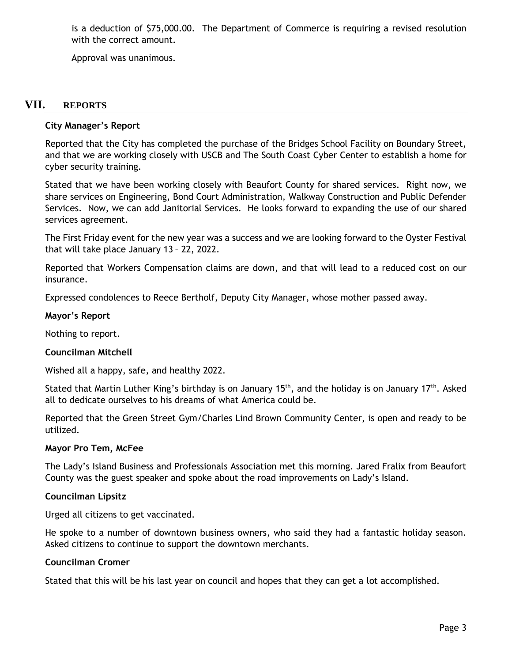is a deduction of \$75,000.00. The Department of Commerce is requiring a revised resolution with the correct amount.

Approval was unanimous.

## **VII. REPORTS**

### **City Manager's Report**

Reported that the City has completed the purchase of the Bridges School Facility on Boundary Street, and that we are working closely with USCB and The South Coast Cyber Center to establish a home for cyber security training.

Stated that we have been working closely with Beaufort County for shared services. Right now, we share services on Engineering, Bond Court Administration, Walkway Construction and Public Defender Services. Now, we can add Janitorial Services. He looks forward to expanding the use of our shared services agreement.

The First Friday event for the new year was a success and we are looking forward to the Oyster Festival that will take place January 13 – 22, 2022.

Reported that Workers Compensation claims are down, and that will lead to a reduced cost on our insurance.

Expressed condolences to Reece Bertholf, Deputy City Manager, whose mother passed away.

### **Mayor's Report**

Nothing to report.

### **Councilman Mitchell**

Wished all a happy, safe, and healthy 2022.

Stated that Martin Luther King's birthday is on January 15<sup>th</sup>, and the holiday is on January 17<sup>th</sup>. Asked all to dedicate ourselves to his dreams of what America could be.

Reported that the Green Street Gym/Charles Lind Brown Community Center, is open and ready to be utilized.

### **Mayor Pro Tem, McFee**

The Lady's Island Business and Professionals Association met this morning. Jared Fralix from Beaufort County was the guest speaker and spoke about the road improvements on Lady's Island.

### **Councilman Lipsitz**

Urged all citizens to get vaccinated.

He spoke to a number of downtown business owners, who said they had a fantastic holiday season. Asked citizens to continue to support the downtown merchants.

### **Councilman Cromer**

Stated that this will be his last year on council and hopes that they can get a lot accomplished.